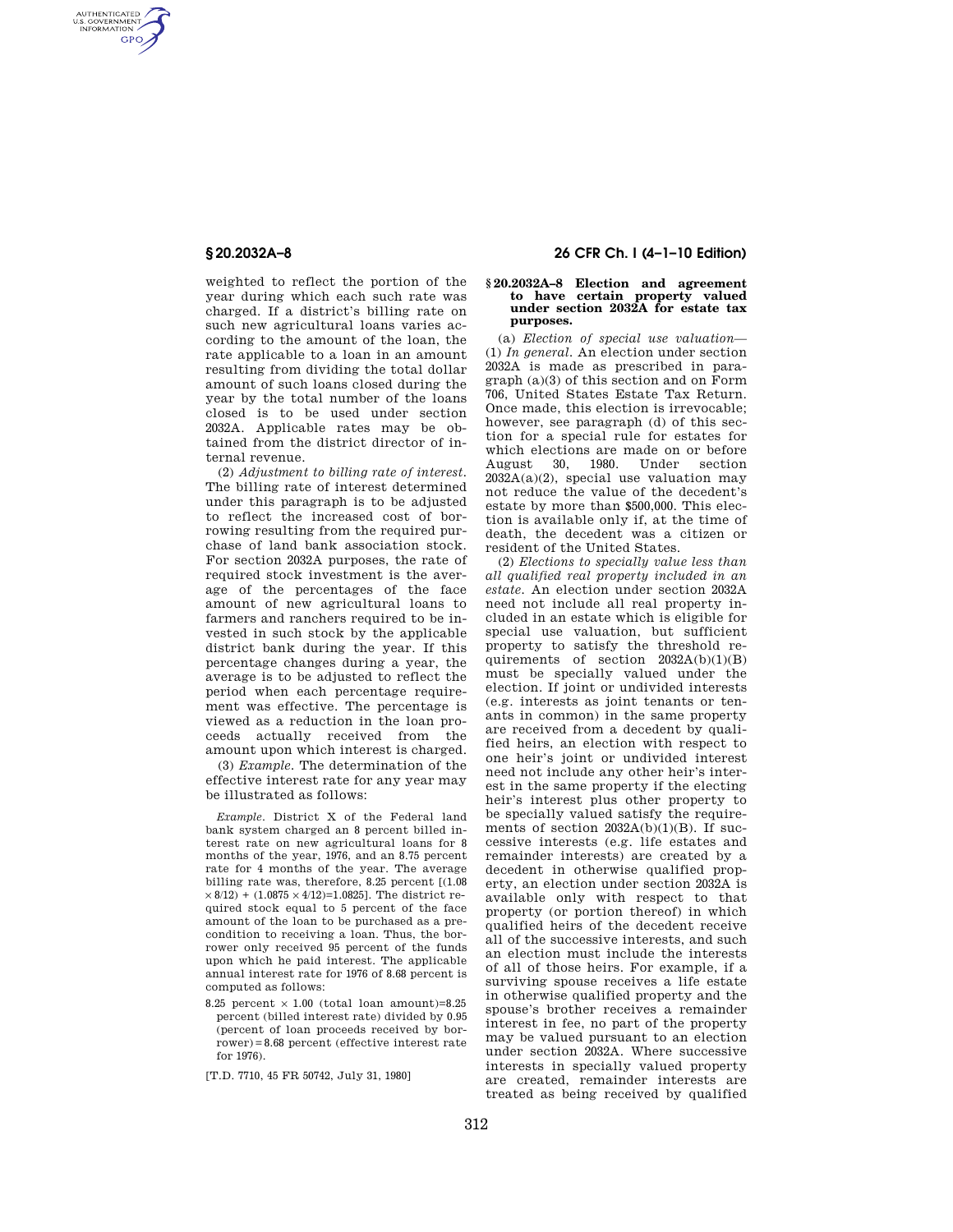AUTHENTICATED<br>U.S. GOVERNMENT<br>INFORMATION **GPO** 

> weighted to reflect the portion of the year during which each such rate was charged. If a district's billing rate on such new agricultural loans varies according to the amount of the loan, the rate applicable to a loan in an amount resulting from dividing the total dollar amount of such loans closed during the year by the total number of the loans closed is to be used under section 2032A. Applicable rates may be obtained from the district director of internal revenue.

> (2) *Adjustment to billing rate of interest.*  The billing rate of interest determined under this paragraph is to be adjusted to reflect the increased cost of borrowing resulting from the required purchase of land bank association stock. For section 2032A purposes, the rate of required stock investment is the average of the percentages of the face amount of new agricultural loans to farmers and ranchers required to be invested in such stock by the applicable district bank during the year. If this percentage changes during a year, the average is to be adjusted to reflect the period when each percentage requirement was effective. The percentage is viewed as a reduction in the loan proceeds actually received from the amount upon which interest is charged.

> (3) *Example.* The determination of the effective interest rate for any year may be illustrated as follows:

*Example.* District X of the Federal land bank system charged an 8 percent billed interest rate on new agricultural loans for 8 months of the year, 1976, and an 8.75 percent rate for 4 months of the year. The average billing rate was, therefore, 8.25 percent [(1.08  $\times$  8/12) + (1.0875  $\times$  4/12)=1.0825]. The district required stock equal to 5 percent of the face amount of the loan to be purchased as a precondition to receiving a loan. Thus, the borrower only received 95 percent of the funds upon which he paid interest. The applicable annual interest rate for 1976 of 8.68 percent is computed as follows:

8.25 percent  $\times$  1.00 (total loan amount)=8.25 percent (billed interest rate) divided by 0.95 (percent of loan proceeds received by borrower)=8.68 percent (effective interest rate for 1976).

[T.D. 7710, 45 FR 50742, July 31, 1980]

# **§ 20.2032A–8 26 CFR Ch. I (4–1–10 Edition)**

# **§ 20.2032A–8 Election and agreement to have certain property valued under section 2032A for estate tax purposes.**

(a) *Election of special use valuation*— (1) *In general.* An election under section 2032A is made as prescribed in paragraph (a)(3) of this section and on Form 706, United States Estate Tax Return. Once made, this election is irrevocable; however, see paragraph (d) of this section for a special rule for estates for which elections are made on or before August 30, 1980. Under section 2032A(a)(2), special use valuation may not reduce the value of the decedent's estate by more than \$500,000. This election is available only if, at the time of death, the decedent was a citizen or resident of the United States.

(2) *Elections to specially value less than all qualified real property included in an estate.* An election under section 2032A need not include all real property included in an estate which is eligible for special use valuation, but sufficient property to satisfy the threshold requirements of section 2032A(b)(1)(B) must be specially valued under the election. If joint or undivided interests (e.g. interests as joint tenants or tenants in common) in the same property are received from a decedent by qualified heirs, an election with respect to one heir's joint or undivided interest need not include any other heir's interest in the same property if the electing heir's interest plus other property to be specially valued satisfy the requirements of section  $2032A(b)(1)(B)$ . If successive interests (e.g. life estates and remainder interests) are created by a decedent in otherwise qualified property, an election under section 2032A is available only with respect to that property (or portion thereof) in which qualified heirs of the decedent receive all of the successive interests, and such an election must include the interests of all of those heirs. For example, if a surviving spouse receives a life estate in otherwise qualified property and the spouse's brother receives a remainder interest in fee, no part of the property may be valued pursuant to an election under section 2032A. Where successive interests in specially valued property are created, remainder interests are treated as being received by qualified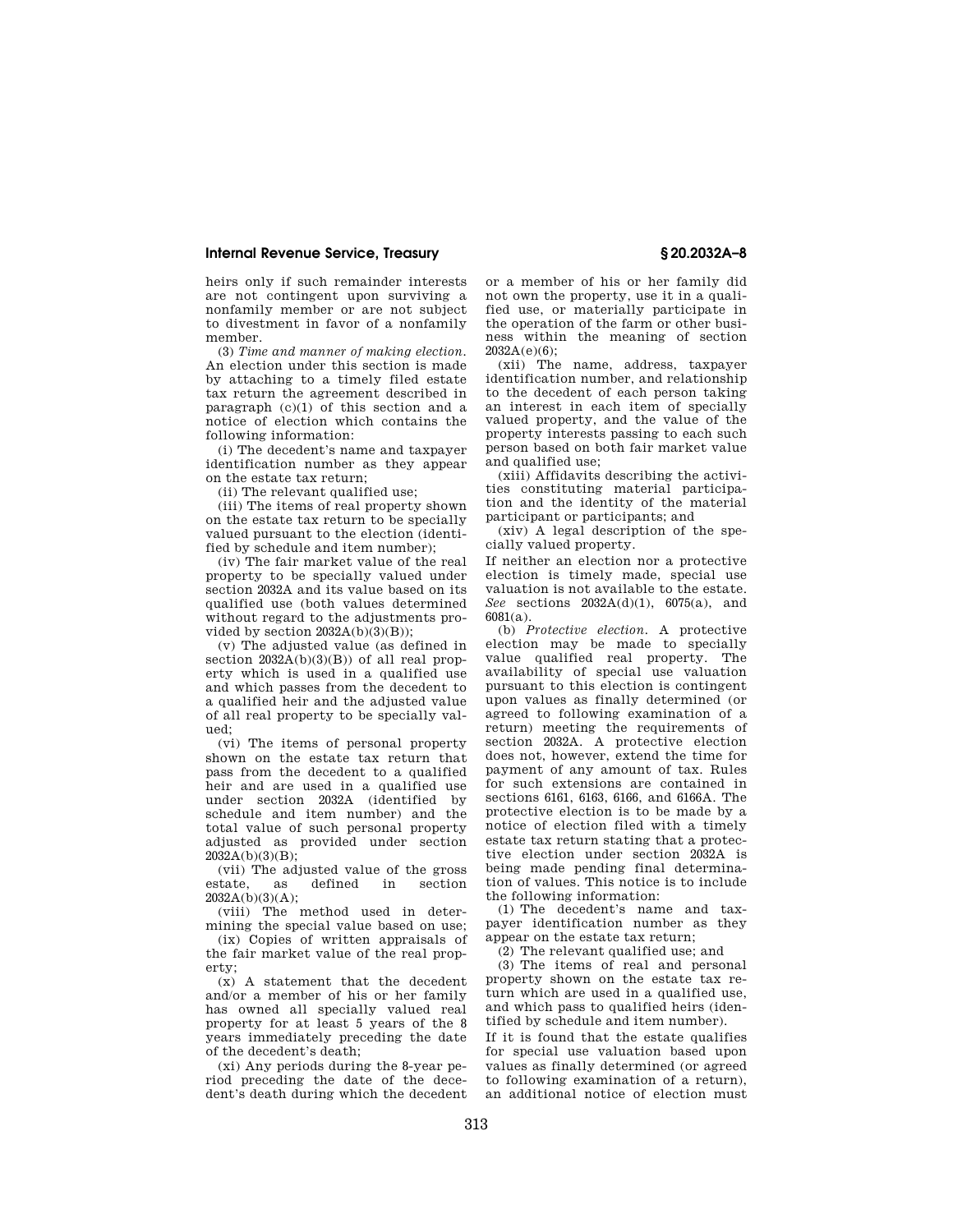## **Internal Revenue Service, Treasury § 20.2032A–8**

heirs only if such remainder interests are not contingent upon surviving a nonfamily member or are not subject to divestment in favor of a nonfamily member.

(3) *Time and manner of making election.*  An election under this section is made by attaching to a timely filed estate tax return the agreement described in paragraph (c)(1) of this section and a notice of election which contains the following information:

(i) The decedent's name and taxpayer identification number as they appear on the estate tax return;

(ii) The relevant qualified use;

(iii) The items of real property shown on the estate tax return to be specially valued pursuant to the election (identified by schedule and item number);

(iv) The fair market value of the real property to be specially valued under section 2032A and its value based on its qualified use (both values determined without regard to the adjustments provided by section  $2032A(b)(3)(B)$ ;

(v) The adjusted value (as defined in section  $2032A(b)(3)(B)$  of all real property which is used in a qualified use and which passes from the decedent to a qualified heir and the adjusted value of all real property to be specially valued;

(vi) The items of personal property shown on the estate tax return that pass from the decedent to a qualified heir and are used in a qualified use under section 2032A (identified by schedule and item number) and the total value of such personal property adjusted as provided under section  $2032A(b)(3)(B)$ ;

(vii) The adjusted value of the gross as defined in  $2032A(b)(3)(A);$ 

(viii) The method used in determining the special value based on use;

(ix) Copies of written appraisals of the fair market value of the real property;

(x) A statement that the decedent and/or a member of his or her family has owned all specially valued real property for at least 5 years of the 8 years immediately preceding the date of the decedent's death;

(xi) Any periods during the 8-year period preceding the date of the decedent's death during which the decedent or a member of his or her family did not own the property, use it in a qualified use, or materially participate in the operation of the farm or other business within the meaning of section  $2032A(e)(6)$ ;

(xii) The name, address, taxpayer identification number, and relationship to the decedent of each person taking an interest in each item of specially valued property, and the value of the property interests passing to each such person based on both fair market value and qualified use;

(xiii) Affidavits describing the activities constituting material participation and the identity of the material participant or participants; and

(xiv) A legal description of the specially valued property.

If neither an election nor a protective election is timely made, special use valuation is not available to the estate. *See* sections 2032A(d)(1), 6075(a), and 6081(a).

(b) *Protective election.* A protective election may be made to specially value qualified real property. The availability of special use valuation pursuant to this election is contingent upon values as finally determined (or agreed to following examination of a return) meeting the requirements of section 2032A. A protective election does not, however, extend the time for payment of any amount of tax. Rules for such extensions are contained in sections 6161, 6163, 6166, and 6166A. The protective election is to be made by a notice of election filed with a timely estate tax return stating that a protective election under section 2032A is being made pending final determination of values. This notice is to include the following information:

(1) The decedent's name and taxpayer identification number as they appear on the estate tax return;

(2) The relevant qualified use; and

(3) The items of real and personal property shown on the estate tax return which are used in a qualified use, and which pass to qualified heirs (identified by schedule and item number).

If it is found that the estate qualifies for special use valuation based upon values as finally determined (or agreed to following examination of a return), an additional notice of election must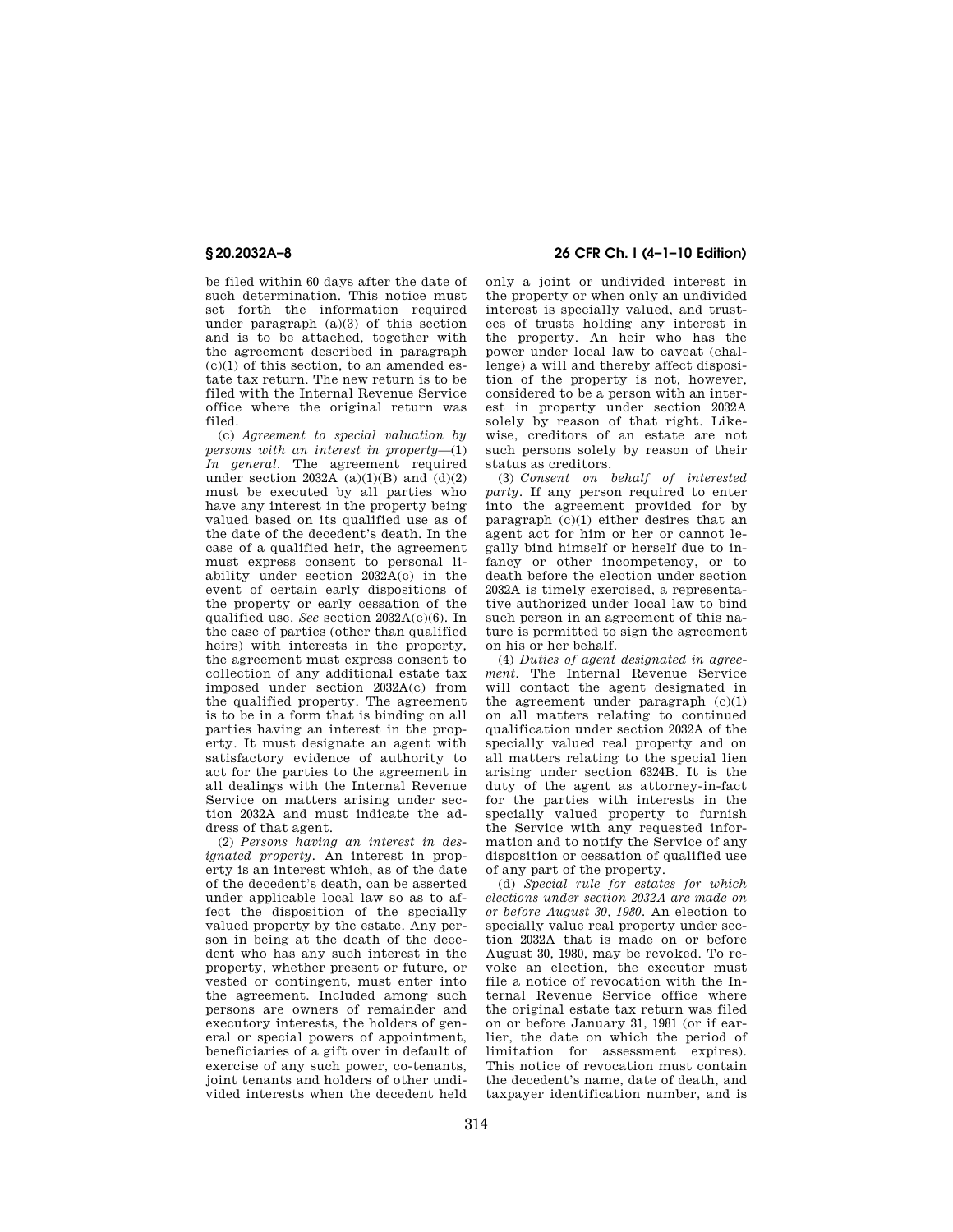be filed within 60 days after the date of such determination. This notice must set forth the information required under paragraph (a)(3) of this section and is to be attached, together with the agreement described in paragraph  $(c)(1)$  of this section, to an amended estate tax return. The new return is to be filed with the Internal Revenue Service office where the original return was filed.

(c) *Agreement to special valuation by persons with an interest in property*—(1) *In general.* The agreement required under section  $2032\text{\AA}$  (a)(1)(B) and (d)(2) must be executed by all parties who have any interest in the property being valued based on its qualified use as of the date of the decedent's death. In the case of a qualified heir, the agreement must express consent to personal liability under section 2032A(c) in the event of certain early dispositions of the property or early cessation of the qualified use. *See* section 2032A(c)(6). In the case of parties (other than qualified heirs) with interests in the property, the agreement must express consent to collection of any additional estate tax imposed under section 2032A(c) from the qualified property. The agreement is to be in a form that is binding on all parties having an interest in the property. It must designate an agent with satisfactory evidence of authority to act for the parties to the agreement in all dealings with the Internal Revenue Service on matters arising under section 2032A and must indicate the address of that agent.

(2) *Persons having an interest in designated property.* An interest in property is an interest which, as of the date of the decedent's death, can be asserted under applicable local law so as to affect the disposition of the specially valued property by the estate. Any person in being at the death of the decedent who has any such interest in the property, whether present or future, or vested or contingent, must enter into the agreement. Included among such persons are owners of remainder and executory interests, the holders of general or special powers of appointment, beneficiaries of a gift over in default of exercise of any such power, co-tenants joint tenants and holders of other undivided interests when the decedent held

# **§ 20.2032A–8 26 CFR Ch. I (4–1–10 Edition)**

only a joint or undivided interest in the property or when only an undivided interest is specially valued, and trustees of trusts holding any interest in the property. An heir who has the power under local law to caveat (challenge) a will and thereby affect disposition of the property is not, however, considered to be a person with an interest in property under section 2032A solely by reason of that right. Likewise, creditors of an estate are not such persons solely by reason of their status as creditors.

(3) *Consent on behalf of interested party.* If any person required to enter into the agreement provided for by paragraph (c)(1) either desires that an agent act for him or her or cannot legally bind himself or herself due to infancy or other incompetency, or to death before the election under section 2032A is timely exercised, a representative authorized under local law to bind such person in an agreement of this nature is permitted to sign the agreement on his or her behalf.

(4) *Duties of agent designated in agreement.* The Internal Revenue Service will contact the agent designated in the agreement under paragraph  $(c)(1)$ on all matters relating to continued qualification under section 2032A of the specially valued real property and on all matters relating to the special lien arising under section 6324B. It is the duty of the agent as attorney-in-fact for the parties with interests in the specially valued property to furnish the Service with any requested information and to notify the Service of any disposition or cessation of qualified use of any part of the property.

(d) *Special rule for estates for which elections under section 2032A are made on or before August 30, 1980.* An election to specially value real property under section 2032A that is made on or before August 30, 1980, may be revoked. To revoke an election, the executor must file a notice of revocation with the Internal Revenue Service office where the original estate tax return was filed on or before January 31, 1981 (or if earlier, the date on which the period of limitation for assessment expires). This notice of revocation must contain the decedent's name, date of death, and taxpayer identification number, and is